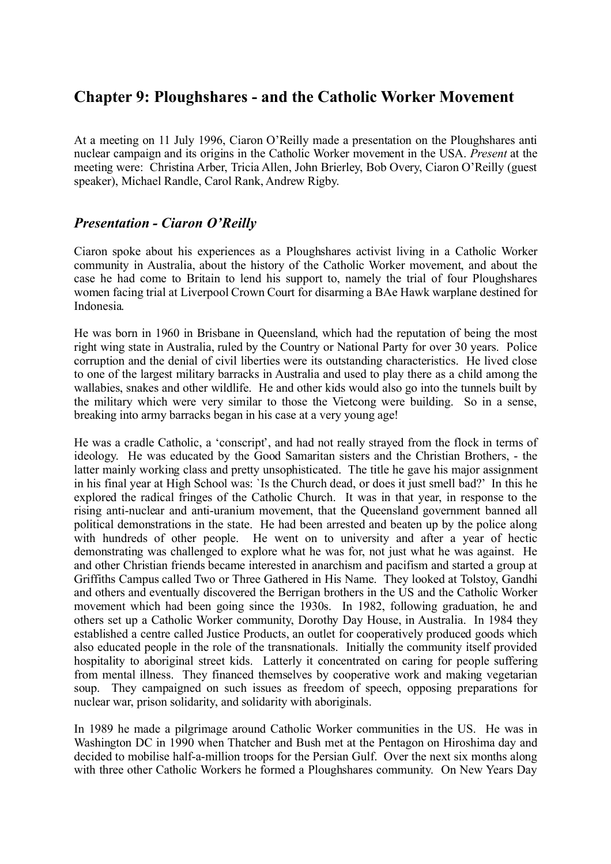# **Chapter 9: Ploughshares - and the Catholic Worker Movement**

At a meeting on 11 July 1996, Ciaron O'Reilly made a presentation on the Ploughshares anti nuclear campaign and its origins in the Catholic Worker movement in the USA. *Present* at the meeting were: Christina Arber, Tricia Allen, John Brierley, Bob Overy, Ciaron O'Reilly (guest speaker), Michael Randle, Carol Rank, Andrew Rigby.

# *Presentation - Ciaron O'Reilly*

Ciaron spoke about his experiences as a Ploughshares activist living in a Catholic Worker community in Australia, about the history of the Catholic Worker movement, and about the case he had come to Britain to lend his support to, namely the trial of four Ploughshares women facing trial at Liverpool Crown Court for disarming a BAe Hawk warplane destined for Indonesia.

He was born in 1960 in Brisbane in Queensland, which had the reputation of being the most right wing state in Australia, ruled by the Country or National Party for over 30 years. Police corruption and the denial of civil liberties were its outstanding characteristics. He lived close to one of the largest military barracks in Australia and used to play there as a child among the wallabies, snakes and other wildlife. He and other kids would also go into the tunnels built by the military which were very similar to those the Vietcong were building. So in a sense, breaking into army barracks began in his case at a very young age!

He was a cradle Catholic, a 'conscript', and had not really strayed from the flock in terms of ideology. He was educated by the Good Samaritan sisters and the Christian Brothers, - the latter mainly working class and pretty unsophisticated. The title he gave his major assignment in his final year at High School was: `Is the Church dead, or does it just smell bad?' In this he explored the radical fringes of the Catholic Church. It was in that year, in response to the rising anti-nuclear and anti-uranium movement, that the Queensland government banned all political demonstrations in the state. He had been arrested and beaten up by the police along with hundreds of other people. He went on to university and after a year of hectic demonstrating was challenged to explore what he was for, not just what he was against. He and other Christian friends became interested in anarchism and pacifism and started a group at Griffiths Campus called Two or Three Gathered in His Name. They looked at Tolstoy, Gandhi and others and eventually discovered the Berrigan brothers in the US and the Catholic Worker movement which had been going since the 1930s. In 1982, following graduation, he and others set up a Catholic Worker community, Dorothy Day House, in Australia. In 1984 they established a centre called Justice Products, an outlet for cooperatively produced goods which also educated people in the role of the transnationals. Initially the community itself provided hospitality to aboriginal street kids. Latterly it concentrated on caring for people suffering from mental illness. They financed themselves by cooperative work and making vegetarian soup. They campaigned on such issues as freedom of speech, opposing preparations for nuclear war, prison solidarity, and solidarity with aboriginals.

In 1989 he made a pilgrimage around Catholic Worker communities in the US. He was in Washington DC in 1990 when Thatcher and Bush met at the Pentagon on Hiroshima day and decided to mobilise half-a-million troops for the Persian Gulf. Over the next six months along with three other Catholic Workers he formed a Ploughshares community. On New Years Day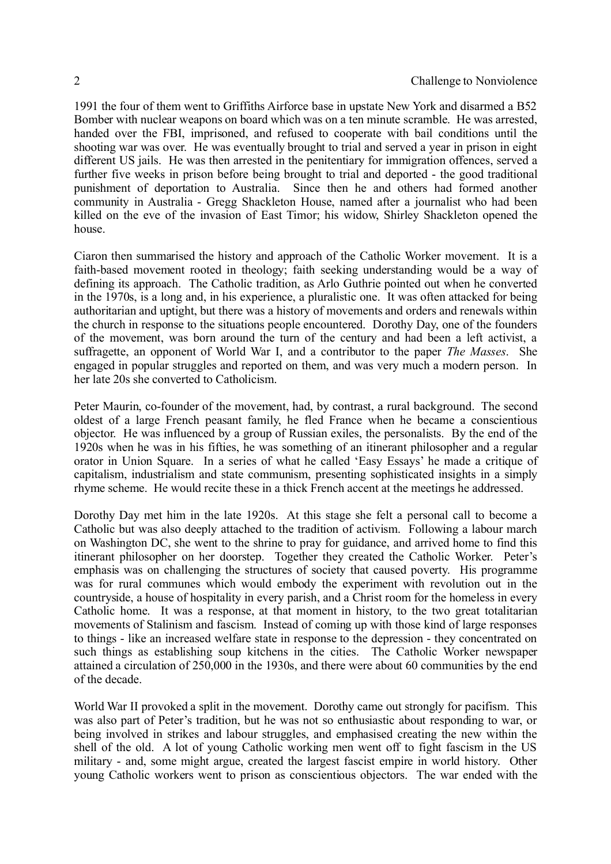1991 the four of them went to Griffiths Airforce base in upstate New York and disarmed a B52 Bomber with nuclear weapons on board which was on a ten minute scramble. He was arrested, handed over the FBI, imprisoned, and refused to cooperate with bail conditions until the shooting war was over. He was eventually brought to trial and served a year in prison in eight different US jails. He was then arrested in the penitentiary for immigration offences, served a further five weeks in prison before being brought to trial and deported - the good traditional punishment of deportation to Australia. Since then he and others had formed another community in Australia - Gregg Shackleton House, named after a journalist who had been killed on the eve of the invasion of East Timor; his widow, Shirley Shackleton opened the house.

Ciaron then summarised the history and approach of the Catholic Worker movement. It is a faith-based movement rooted in theology; faith seeking understanding would be a way of defining its approach. The Catholic tradition, as Arlo Guthrie pointed out when he converted in the 1970s, is a long and, in his experience, a pluralistic one. It was often attacked for being authoritarian and uptight, but there was a history of movements and orders and renewals within the church in response to the situations people encountered. Dorothy Day, one of the founders of the movement, was born around the turn of the century and had been a left activist, a suffragette, an opponent of World War I, and a contributor to the paper *The Masses*. She engaged in popular struggles and reported on them, and was very much a modern person. In her late 20s she converted to Catholicism.

Peter Maurin, co-founder of the movement, had, by contrast, a rural background. The second oldest of a large French peasant family, he fled France when he became a conscientious objector. He was influenced by a group of Russian exiles, the personalists. By the end of the 1920s when he was in his fifties, he was something of an itinerant philosopher and a regular orator in Union Square. In a series of what he called 'Easy Essays' he made a critique of capitalism, industrialism and state communism, presenting sophisticated insights in a simply rhyme scheme. He would recite these in a thick French accent at the meetings he addressed.

Dorothy Day met him in the late 1920s. At this stage she felt a personal call to become a Catholic but was also deeply attached to the tradition of activism. Following a labour march on Washington DC, she went to the shrine to pray for guidance, and arrived home to find this itinerant philosopher on her doorstep. Together they created the Catholic Worker. Peter's emphasis was on challenging the structures of society that caused poverty. His programme was for rural communes which would embody the experiment with revolution out in the countryside, a house of hospitality in every parish, and a Christ room for the homeless in every Catholic home. It was a response, at that moment in history, to the two great totalitarian movements of Stalinism and fascism. Instead of coming up with those kind of large responses to things - like an increased welfare state in response to the depression - they concentrated on such things as establishing soup kitchens in the cities. The Catholic Worker newspaper attained a circulation of 250,000 in the 1930s, and there were about 60 communities by the end of the decade.

World War II provoked a split in the movement. Dorothy came out strongly for pacifism. This was also part of Peter's tradition, but he was not so enthusiastic about responding to war, or being involved in strikes and labour struggles, and emphasised creating the new within the shell of the old. A lot of young Catholic working men went off to fight fascism in the US military - and, some might argue, created the largest fascist empire in world history. Other young Catholic workers went to prison as conscientious objectors. The war ended with the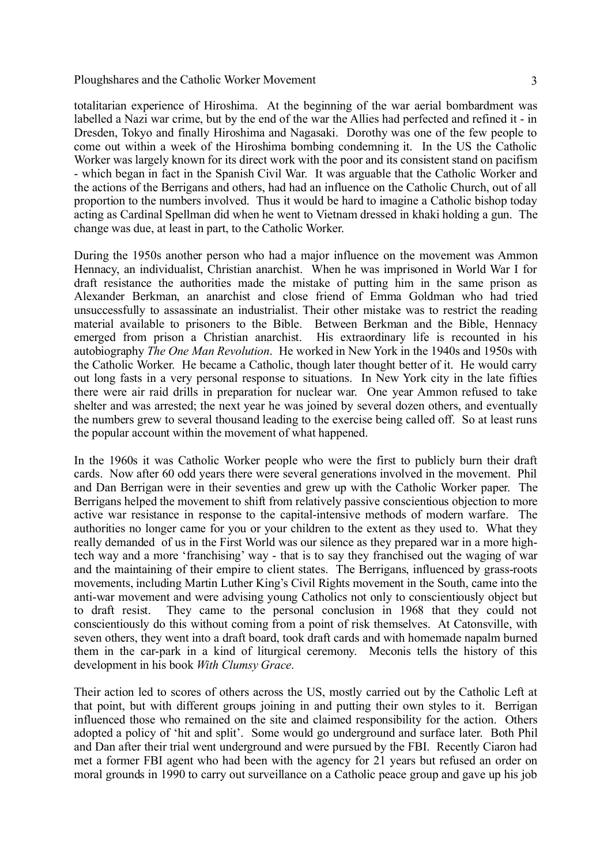totalitarian experience of Hiroshima. At the beginning of the war aerial bombardment was labelled a Nazi war crime, but by the end of the war the Allies had perfected and refined it - in Dresden, Tokyo and finally Hiroshima and Nagasaki. Dorothy was one of the few people to come out within a week of the Hiroshima bombing condemning it. In the US the Catholic Worker was largely known for its direct work with the poor and its consistent stand on pacifism - which began in fact in the Spanish Civil War. It was arguable that the Catholic Worker and the actions of the Berrigans and others, had had an influence on the Catholic Church, out of all proportion to the numbers involved. Thus it would be hard to imagine a Catholic bishop today acting as Cardinal Spellman did when he went to Vietnam dressed in khaki holding a gun. The change was due, at least in part, to the Catholic Worker.

During the 1950s another person who had a major influence on the movement was Ammon Hennacy, an individualist, Christian anarchist. When he was imprisoned in World War I for draft resistance the authorities made the mistake of putting him in the same prison as Alexander Berkman, an anarchist and close friend of Emma Goldman who had tried unsuccessfully to assassinate an industrialist. Their other mistake was to restrict the reading material available to prisoners to the Bible. Between Berkman and the Bible, Hennacy emerged from prison a Christian anarchist. His extraordinary life is recounted in his autobiography *The One Man Revolution*. He worked in New York in the 1940s and 1950s with the Catholic Worker. He became a Catholic, though later thought better of it. He would carry out long fasts in a very personal response to situations. In New York city in the late fifties there were air raid drills in preparation for nuclear war. One year Ammon refused to take shelter and was arrested; the next year he was joined by several dozen others, and eventually the numbers grew to several thousand leading to the exercise being called off. So at least runs the popular account within the movement of what happened.

In the 1960s it was Catholic Worker people who were the first to publicly burn their draft cards. Now after 60 odd years there were several generations involved in the movement. Phil and Dan Berrigan were in their seventies and grew up with the Catholic Worker paper. The Berrigans helped the movement to shift from relatively passive conscientious objection to more active war resistance in response to the capital-intensive methods of modern warfare. The authorities no longer came for you or your children to the extent as they used to. What they really demanded of us in the First World was our silence as they prepared war in a more hightech way and a more 'franchising' way - that is to say they franchised out the waging of war and the maintaining of their empire to client states. The Berrigans, influenced by grass-roots movements, including Martin Luther King's Civil Rights movement in the South, came into the anti-war movement and were advising young Catholics not only to conscientiously object but to draft resist. They came to the personal conclusion in 1968 that they could not conscientiously do this without coming from a point of risk themselves. At Catonsville, with seven others, they went into a draft board, took draft cards and with homemade napalm burned them in the car-park in a kind of liturgical ceremony. Meconis tells the history of this development in his book *With Clumsy Grace*.

Their action led to scores of others across the US, mostly carried out by the Catholic Left at that point, but with different groups joining in and putting their own styles to it. Berrigan influenced those who remained on the site and claimed responsibility for the action. Others adopted a policy of 'hit and split'. Some would go underground and surface later. Both Phil and Dan after their trial went underground and were pursued by the FBI. Recently Ciaron had met a former FBI agent who had been with the agency for 21 years but refused an order on moral grounds in 1990 to carry out surveillance on a Catholic peace group and gave up his job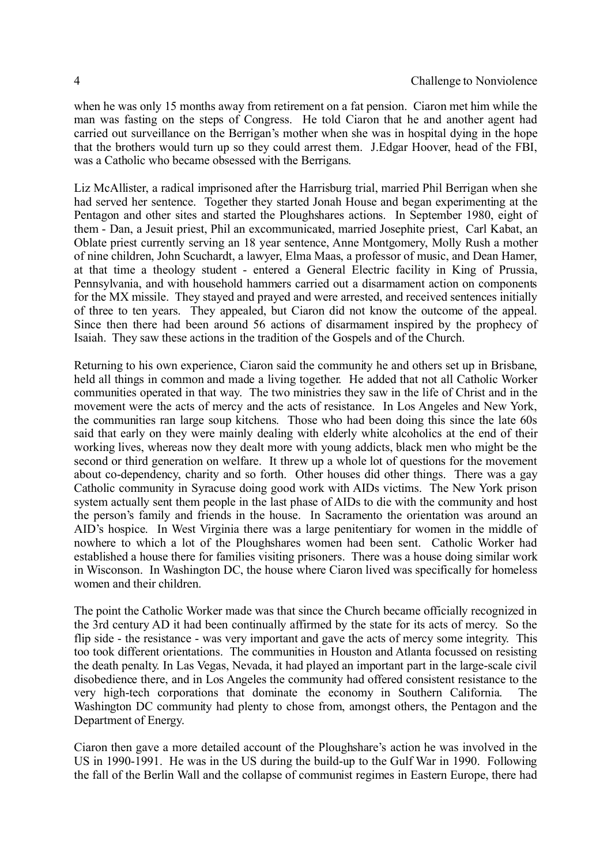when he was only 15 months away from retirement on a fat pension. Ciaron met him while the man was fasting on the steps of Congress. He told Ciaron that he and another agent had carried out surveillance on the Berrigan's mother when she was in hospital dying in the hope that the brothers would turn up so they could arrest them. J.Edgar Hoover, head of the FBI, was a Catholic who became obsessed with the Berrigans.

Liz McAllister, a radical imprisoned after the Harrisburg trial, married Phil Berrigan when she had served her sentence. Together they started Jonah House and began experimenting at the Pentagon and other sites and started the Ploughshares actions. In September 1980, eight of them - Dan, a Jesuit priest, Phil an excommunicated, married Josephite priest, Carl Kabat, an Oblate priest currently serving an 18 year sentence, Anne Montgomery, Molly Rush a mother of nine children, John Scuchardt, a lawyer, Elma Maas, a professor of music, and Dean Hamer, at that time a theology student - entered a General Electric facility in King of Prussia, Pennsylvania, and with household hammers carried out a disarmament action on components for the MX missile. They stayed and prayed and were arrested, and received sentences initially of three to ten years. They appealed, but Ciaron did not know the outcome of the appeal. Since then there had been around 56 actions of disarmament inspired by the prophecy of Isaiah. They saw these actions in the tradition of the Gospels and of the Church.

Returning to his own experience, Ciaron said the community he and others set up in Brisbane, held all things in common and made a living together. He added that not all Catholic Worker communities operated in that way. The two ministries they saw in the life of Christ and in the movement were the acts of mercy and the acts of resistance. In Los Angeles and New York, the communities ran large soup kitchens. Those who had been doing this since the late 60s said that early on they were mainly dealing with elderly white alcoholics at the end of their working lives, whereas now they dealt more with young addicts, black men who might be the second or third generation on welfare. It threw up a whole lot of questions for the movement about co-dependency, charity and so forth. Other houses did other things. There was a gay Catholic community in Syracuse doing good work with AIDs victims. The New York prison system actually sent them people in the last phase of AIDs to die with the community and host the person's family and friends in the house. In Sacramento the orientation was around an AID's hospice. In West Virginia there was a large penitentiary for women in the middle of nowhere to which a lot of the Ploughshares women had been sent. Catholic Worker had established a house there for families visiting prisoners. There was a house doing similar work in Wisconson. In Washington DC, the house where Ciaron lived was specifically for homeless women and their children.

The point the Catholic Worker made was that since the Church became officially recognized in the 3rd century AD it had been continually affirmed by the state for its acts of mercy. So the flip side - the resistance - was very important and gave the acts of mercy some integrity. This too took different orientations. The communities in Houston and Atlanta focussed on resisting the death penalty. In Las Vegas, Nevada, it had played an important part in the large-scale civil disobedience there, and in Los Angeles the community had offered consistent resistance to the very high-tech corporations that dominate the economy in Southern California. The Washington DC community had plenty to chose from, amongst others, the Pentagon and the Department of Energy.

Ciaron then gave a more detailed account of the Ploughshare's action he was involved in the US in 1990-1991. He was in the US during the build-up to the Gulf War in 1990. Following the fall of the Berlin Wall and the collapse of communist regimes in Eastern Europe, there had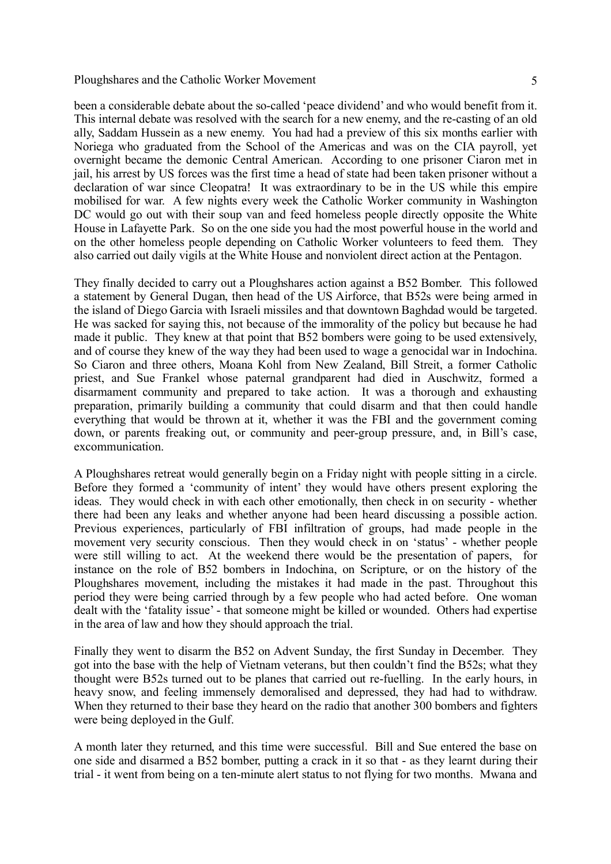been a considerable debate about the so-called 'peace dividend' and who would benefit from it. This internal debate was resolved with the search for a new enemy, and the re-casting of an old ally, Saddam Hussein as a new enemy. You had had a preview of this six months earlier with Noriega who graduated from the School of the Americas and was on the CIA payroll, yet overnight became the demonic Central American. According to one prisoner Ciaron met in jail, his arrest by US forces was the first time a head of state had been taken prisoner without a declaration of war since Cleopatra! It was extraordinary to be in the US while this empire mobilised for war. A few nights every week the Catholic Worker community in Washington DC would go out with their soup van and feed homeless people directly opposite the White House in Lafayette Park. So on the one side you had the most powerful house in the world and on the other homeless people depending on Catholic Worker volunteers to feed them. They also carried out daily vigils at the White House and nonviolent direct action at the Pentagon.

They finally decided to carry out a Ploughshares action against a B52 Bomber. This followed a statement by General Dugan, then head of the US Airforce, that B52s were being armed in the island of Diego Garcia with Israeli missiles and that downtown Baghdad would be targeted. He was sacked for saying this, not because of the immorality of the policy but because he had made it public. They knew at that point that B52 bombers were going to be used extensively, and of course they knew of the way they had been used to wage a genocidal war in Indochina. So Ciaron and three others, Moana Kohl from New Zealand, Bill Streit, a former Catholic priest, and Sue Frankel whose paternal grandparent had died in Auschwitz, formed a disarmament community and prepared to take action. It was a thorough and exhausting preparation, primarily building a community that could disarm and that then could handle everything that would be thrown at it, whether it was the FBI and the government coming down, or parents freaking out, or community and peer-group pressure, and, in Bill's case, excommunication.

A Ploughshares retreat would generally begin on a Friday night with people sitting in a circle. Before they formed a 'community of intent' they would have others present exploring the ideas. They would check in with each other emotionally, then check in on security - whether there had been any leaks and whether anyone had been heard discussing a possible action. Previous experiences, particularly of FBI infiltration of groups, had made people in the movement very security conscious. Then they would check in on 'status' - whether people were still willing to act. At the weekend there would be the presentation of papers, for instance on the role of B52 bombers in Indochina, on Scripture, or on the history of the Ploughshares movement, including the mistakes it had made in the past. Throughout this period they were being carried through by a few people who had acted before. One woman dealt with the 'fatality issue' - that someone might be killed or wounded. Others had expertise in the area of law and how they should approach the trial.

Finally they went to disarm the B52 on Advent Sunday, the first Sunday in December. They got into the base with the help of Vietnam veterans, but then couldn't find the B52s; what they thought were B52s turned out to be planes that carried out re-fuelling. In the early hours, in heavy snow, and feeling immensely demoralised and depressed, they had had to withdraw. When they returned to their base they heard on the radio that another 300 bombers and fighters were being deployed in the Gulf.

A month later they returned, and this time were successful. Bill and Sue entered the base on one side and disarmed a B52 bomber, putting a crack in it so that - as they learnt during their trial - it went from being on a ten-minute alert status to not flying for two months. Mwana and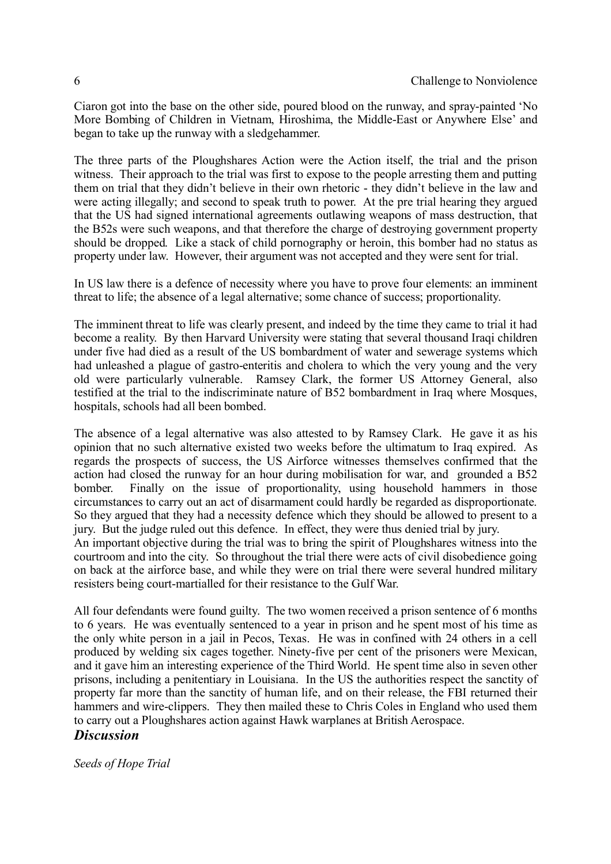Ciaron got into the base on the other side, poured blood on the runway, and spray-painted 'No More Bombing of Children in Vietnam, Hiroshima, the Middle-East or Anywhere Else' and began to take up the runway with a sledgehammer.

The three parts of the Ploughshares Action were the Action itself, the trial and the prison witness. Their approach to the trial was first to expose to the people arresting them and putting them on trial that they didn't believe in their own rhetoric - they didn't believe in the law and were acting illegally; and second to speak truth to power. At the pre trial hearing they argued that the US had signed international agreements outlawing weapons of mass destruction, that the B52s were such weapons, and that therefore the charge of destroying government property should be dropped. Like a stack of child pornography or heroin, this bomber had no status as property under law. However, their argument was not accepted and they were sent for trial.

In US law there is a defence of necessity where you have to prove four elements: an imminent threat to life; the absence of a legal alternative; some chance of success; proportionality.

The imminent threat to life was clearly present, and indeed by the time they came to trial it had become a reality. By then Harvard University were stating that several thousand Iraqi children under five had died as a result of the US bombardment of water and sewerage systems which had unleashed a plague of gastro-enteritis and cholera to which the very young and the very old were particularly vulnerable. Ramsey Clark, the former US Attorney General, also testified at the trial to the indiscriminate nature of B52 bombardment in Iraq where Mosques, hospitals, schools had all been bombed.

The absence of a legal alternative was also attested to by Ramsey Clark. He gave it as his opinion that no such alternative existed two weeks before the ultimatum to Iraq expired. As regards the prospects of success, the US Airforce witnesses themselves confirmed that the action had closed the runway for an hour during mobilisation for war, and grounded a B52 bomber. Finally on the issue of proportionality, using household hammers in those circumstances to carry out an act of disarmament could hardly be regarded as disproportionate. So they argued that they had a necessity defence which they should be allowed to present to a jury. But the judge ruled out this defence. In effect, they were thus denied trial by jury. An important objective during the trial was to bring the spirit of Ploughshares witness into the courtroom and into the city. So throughout the trial there were acts of civil disobedience going on back at the airforce base, and while they were on trial there were several hundred military resisters being court-martialled for their resistance to the Gulf War.

All four defendants were found guilty. The two women received a prison sentence of 6 months to 6 years. He was eventually sentenced to a year in prison and he spent most of his time as the only white person in a jail in Pecos, Texas. He was in confined with 24 others in a cell produced by welding six cages together. Ninety-five per cent of the prisoners were Mexican, and it gave him an interesting experience of the Third World. He spent time also in seven other prisons, including a penitentiary in Louisiana. In the US the authorities respect the sanctity of property far more than the sanctity of human life, and on their release, the FBI returned their hammers and wire-clippers. They then mailed these to Chris Coles in England who used them to carry out a Ploughshares action against Hawk warplanes at British Aerospace.

# *Discussion*

*Seeds of Hope Trial*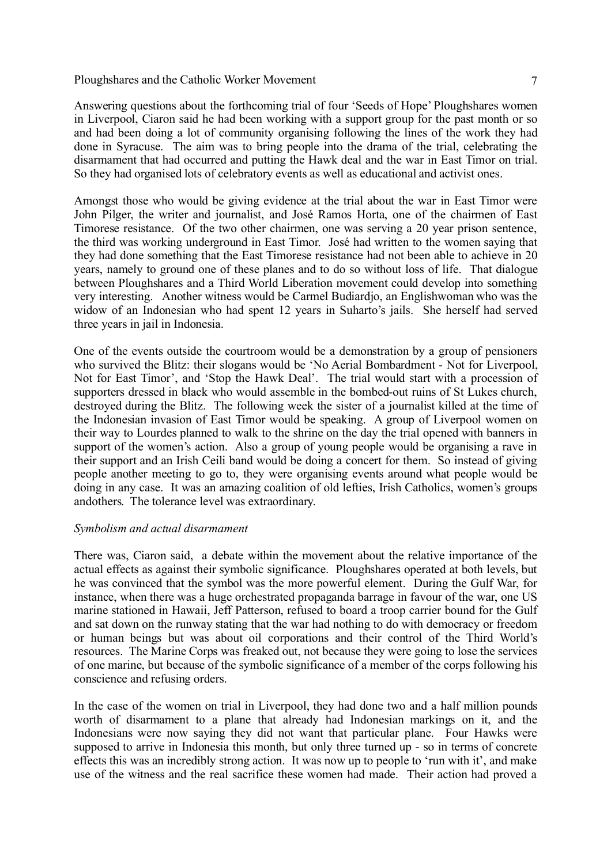Answering questions about the forthcoming trial of four 'Seeds of Hope' Ploughshares women in Liverpool, Ciaron said he had been working with a support group for the past month or so and had been doing a lot of community organising following the lines of the work they had done in Syracuse. The aim was to bring people into the drama of the trial, celebrating the disarmament that had occurred and putting the Hawk deal and the war in East Timor on trial. So they had organised lots of celebratory events as well as educational and activist ones.

Amongst those who would be giving evidence at the trial about the war in East Timor were John Pilger, the writer and journalist, and José Ramos Horta, one of the chairmen of East Timorese resistance. Of the two other chairmen, one was serving a 20 year prison sentence, the third was working underground in East Timor. José had written to the women saying that they had done something that the East Timorese resistance had not been able to achieve in 20 years, namely to ground one of these planes and to do so without loss of life. That dialogue between Ploughshares and a Third World Liberation movement could develop into something very interesting. Another witness would be Carmel Budiardjo, an Englishwoman who was the widow of an Indonesian who had spent 12 years in Suharto's jails. She herself had served three years in jail in Indonesia.

One of the events outside the courtroom would be a demonstration by a group of pensioners who survived the Blitz: their slogans would be 'No Aerial Bombardment - Not for Liverpool, Not for East Timor', and 'Stop the Hawk Deal'. The trial would start with a procession of supporters dressed in black who would assemble in the bombed-out ruins of St Lukes church, destroyed during the Blitz. The following week the sister of a journalist killed at the time of the Indonesian invasion of East Timor would be speaking. A group of Liverpool women on their way to Lourdes planned to walk to the shrine on the day the trial opened with banners in support of the women's action. Also a group of young people would be organising a rave in their support and an Irish Ceili band would be doing a concert for them. So instead of giving people another meeting to go to, they were organising events around what people would be doing in any case. It was an amazing coalition of old lefties, Irish Catholics, women's groups andothers. The tolerance level was extraordinary.

## *Symbolism and actual disarmament*

There was, Ciaron said, a debate within the movement about the relative importance of the actual effects as against their symbolic significance. Ploughshares operated at both levels, but he was convinced that the symbol was the more powerful element. During the Gulf War, for instance, when there was a huge orchestrated propaganda barrage in favour of the war, one US marine stationed in Hawaii, Jeff Patterson, refused to board a troop carrier bound for the Gulf and sat down on the runway stating that the war had nothing to do with democracy or freedom or human beings but was about oil corporations and their control of the Third World's resources. The Marine Corps was freaked out, not because they were going to lose the services of one marine, but because of the symbolic significance of a member of the corps following his conscience and refusing orders.

In the case of the women on trial in Liverpool, they had done two and a half million pounds worth of disarmament to a plane that already had Indonesian markings on it, and the Indonesians were now saying they did not want that particular plane. Four Hawks were supposed to arrive in Indonesia this month, but only three turned up - so in terms of concrete effects this was an incredibly strong action. It was now up to people to 'run with it', and make use of the witness and the real sacrifice these women had made. Their action had proved a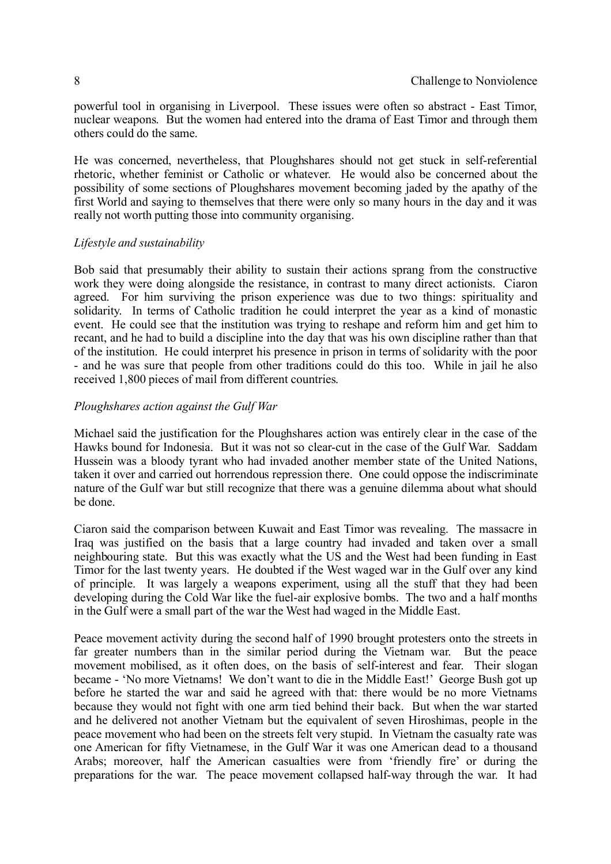powerful tool in organising in Liverpool. These issues were often so abstract - East Timor, nuclear weapons. But the women had entered into the drama of East Timor and through them others could do the same.

He was concerned, nevertheless, that Ploughshares should not get stuck in self-referential rhetoric, whether feminist or Catholic or whatever. He would also be concerned about the possibility of some sections of Ploughshares movement becoming jaded by the apathy of the first World and saying to themselves that there were only so many hours in the day and it was really not worth putting those into community organising.

## *Lifestyle and sustainability*

Bob said that presumably their ability to sustain their actions sprang from the constructive work they were doing alongside the resistance, in contrast to many direct actionists. Ciaron agreed. For him surviving the prison experience was due to two things: spirituality and solidarity. In terms of Catholic tradition he could interpret the year as a kind of monastic event. He could see that the institution was trying to reshape and reform him and get him to recant, and he had to build a discipline into the day that was his own discipline rather than that of the institution. He could interpret his presence in prison in terms of solidarity with the poor - and he was sure that people from other traditions could do this too. While in jail he also received 1,800 pieces of mail from different countries.

## *Ploughshares action against the Gulf War*

Michael said the justification for the Ploughshares action was entirely clear in the case of the Hawks bound for Indonesia. But it was not so clear-cut in the case of the Gulf War. Saddam Hussein was a bloody tyrant who had invaded another member state of the United Nations, taken it over and carried out horrendous repression there. One could oppose the indiscriminate nature of the Gulf war but still recognize that there was a genuine dilemma about what should be done.

Ciaron said the comparison between Kuwait and East Timor was revealing. The massacre in Iraq was justified on the basis that a large country had invaded and taken over a small neighbouring state. But this was exactly what the US and the West had been funding in East Timor for the last twenty years. He doubted if the West waged war in the Gulf over any kind of principle. It was largely a weapons experiment, using all the stuff that they had been developing during the Cold War like the fuel-air explosive bombs. The two and a half months in the Gulf were a small part of the war the West had waged in the Middle East.

Peace movement activity during the second half of 1990 brought protesters onto the streets in far greater numbers than in the similar period during the Vietnam war. But the peace movement mobilised, as it often does, on the basis of self-interest and fear. Their slogan became - 'No more Vietnams! We don't want to die in the Middle East!' George Bush got up before he started the war and said he agreed with that: there would be no more Vietnams because they would not fight with one arm tied behind their back. But when the war started and he delivered not another Vietnam but the equivalent of seven Hiroshimas, people in the peace movement who had been on the streets felt very stupid. In Vietnam the casualty rate was one American for fifty Vietnamese, in the Gulf War it was one American dead to a thousand Arabs; moreover, half the American casualties were from 'friendly fire' or during the preparations for the war. The peace movement collapsed half-way through the war. It had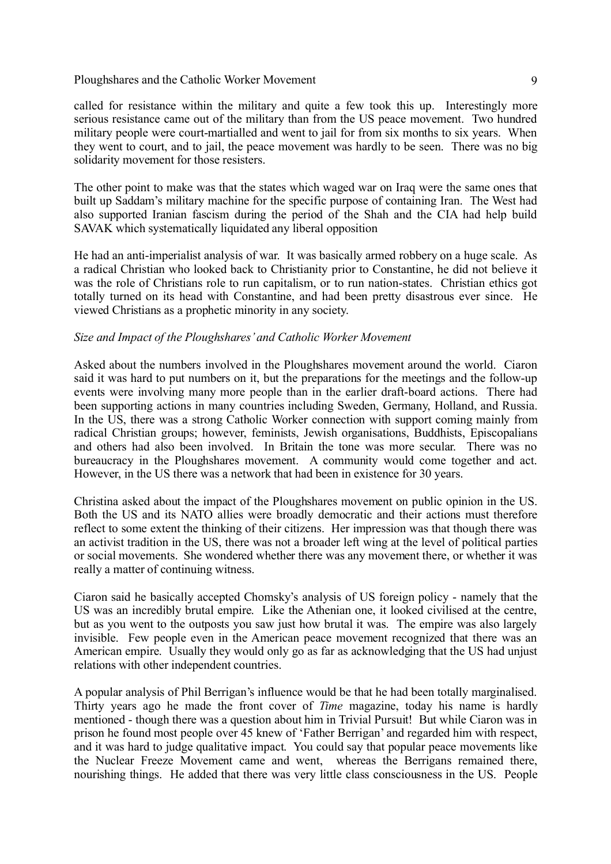called for resistance within the military and quite a few took this up. Interestingly more serious resistance came out of the military than from the US peace movement. Two hundred military people were court-martialled and went to jail for from six months to six years. When they went to court, and to jail, the peace movement was hardly to be seen. There was no big solidarity movement for those resisters.

The other point to make was that the states which waged war on Iraq were the same ones that built up Saddam's military machine for the specific purpose of containing Iran. The West had also supported Iranian fascism during the period of the Shah and the CIA had help build SAVAK which systematically liquidated any liberal opposition

He had an anti-imperialist analysis of war. It was basically armed robbery on a huge scale. As a radical Christian who looked back to Christianity prior to Constantine, he did not believe it was the role of Christians role to run capitalism, or to run nation-states. Christian ethics got totally turned on its head with Constantine, and had been pretty disastrous ever since. He viewed Christians as a prophetic minority in any society.

## *Size and Impact of the Ploughshares'and Catholic Worker Movement*

Asked about the numbers involved in the Ploughshares movement around the world. Ciaron said it was hard to put numbers on it, but the preparations for the meetings and the follow-up events were involving many more people than in the earlier draft-board actions. There had been supporting actions in many countries including Sweden, Germany, Holland, and Russia. In the US, there was a strong Catholic Worker connection with support coming mainly from radical Christian groups; however, feminists, Jewish organisations, Buddhists, Episcopalians and others had also been involved. In Britain the tone was more secular. There was no bureaucracy in the Ploughshares movement. A community would come together and act. However, in the US there was a network that had been in existence for 30 years.

Christina asked about the impact of the Ploughshares movement on public opinion in the US. Both the US and its NATO allies were broadly democratic and their actions must therefore reflect to some extent the thinking of their citizens. Her impression was that though there was an activist tradition in the US, there was not a broader left wing at the level of political parties or social movements. She wondered whether there was any movement there, or whether it was really a matter of continuing witness.

Ciaron said he basically accepted Chomsky's analysis of US foreign policy - namely that the US was an incredibly brutal empire. Like the Athenian one, it looked civilised at the centre, but as you went to the outposts you saw just how brutal it was. The empire was also largely invisible. Few people even in the American peace movement recognized that there was an American empire. Usually they would only go as far as acknowledging that the US had unjust relations with other independent countries.

A popular analysis of Phil Berrigan's influence would be that he had been totally marginalised. Thirty years ago he made the front cover of *Time* magazine, today his name is hardly mentioned - though there was a question about him in Trivial Pursuit! But while Ciaron was in prison he found most people over 45 knew of 'Father Berrigan' and regarded him with respect, and it was hard to judge qualitative impact. You could say that popular peace movements like the Nuclear Freeze Movement came and went, whereas the Berrigans remained there, nourishing things. He added that there was very little class consciousness in the US. People